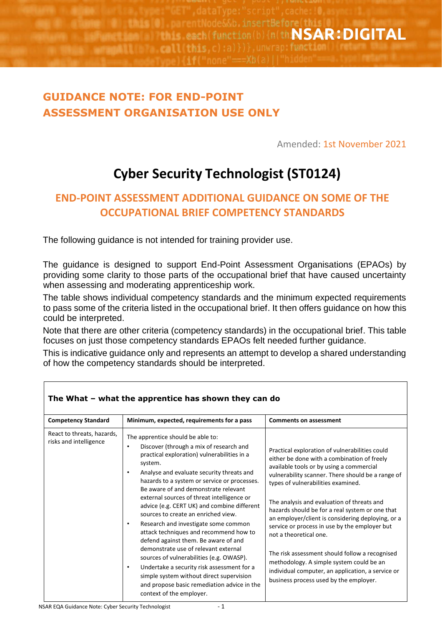on(b) {n(th:NSAR:DIGITAL

## **GUIDANCE NOTE: FOR END-POINT ASSESSMENT ORGANISATION USE ONLY**

Amended: 1st November 2021

# **Cyber Security Technologist (ST0124)**

### **END-POINT ASSESSMENT ADDITIONAL GUIDANCE ON SOME OF THE OCCUPATIONAL BRIEF COMPETENCY STANDARDS**

The following guidance is not intended for training provider use.

The guidance is designed to support End-Point Assessment Organisations (EPAOs) by providing some clarity to those parts of the occupational brief that have caused uncertainty when assessing and moderating apprenticeship work.

The table shows individual competency standards and the minimum expected requirements to pass some of the criteria listed in the occupational brief. It then offers guidance on how this could be interpreted.

Note that there are other criteria (competency standards) in the occupational brief. This table focuses on just those competency standards EPAOs felt needed further guidance.

This is indicative guidance only and represents an attempt to develop a shared understanding of how the competency standards should be interpreted.

| <b>Competency Standard</b>                           | Minimum, expected, requirements for a pass                                                                                                                                                                                                                                                                                                                                                                                                                                                                                                                                                                                                                                                                                                                                                                                                     | <b>Comments on assessment</b>                                                                                                                                                                                                                                                                                                                                                                                                                                                                                                                                                                                                                                      |
|------------------------------------------------------|------------------------------------------------------------------------------------------------------------------------------------------------------------------------------------------------------------------------------------------------------------------------------------------------------------------------------------------------------------------------------------------------------------------------------------------------------------------------------------------------------------------------------------------------------------------------------------------------------------------------------------------------------------------------------------------------------------------------------------------------------------------------------------------------------------------------------------------------|--------------------------------------------------------------------------------------------------------------------------------------------------------------------------------------------------------------------------------------------------------------------------------------------------------------------------------------------------------------------------------------------------------------------------------------------------------------------------------------------------------------------------------------------------------------------------------------------------------------------------------------------------------------------|
| React to threats, hazards,<br>risks and intelligence | The apprentice should be able to:<br>Discover (through a mix of research and<br>٠<br>practical exploration) vulnerabilities in a<br>system.<br>Analyse and evaluate security threats and<br>$\bullet$<br>hazards to a system or service or processes.<br>Be aware of and demonstrate relevant<br>external sources of threat intelligence or<br>advice (e.g. CERT UK) and combine different<br>sources to create an enriched view.<br>Research and investigate some common<br>$\bullet$<br>attack techniques and recommend how to<br>defend against them. Be aware of and<br>demonstrate use of relevant external<br>sources of vulnerabilities (e.g. OWASP).<br>Undertake a security risk assessment for a<br>$\bullet$<br>simple system without direct supervision<br>and propose basic remediation advice in the<br>context of the employer. | Practical exploration of vulnerabilities could<br>either be done with a combination of freely<br>available tools or by using a commercial<br>vulnerability scanner. There should be a range of<br>types of vulnerabilities examined.<br>The analysis and evaluation of threats and<br>hazards should be for a real system or one that<br>an employer/client is considering deploying, or a<br>service or process in use by the employer but<br>not a theoretical one.<br>The risk assessment should follow a recognised<br>methodology. A simple system could be an<br>individual computer, an application, a service or<br>business process used by the employer. |

#### **The What – what the apprentice has shown they can do**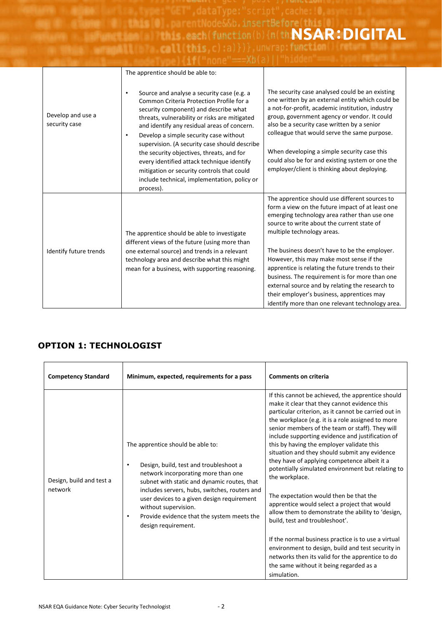**Misis (0)** parentNode&&b.insertBefore(this(0) each(function(b){n(th**)\SAR:DIGITAL**<br>call this c):a)})} unwrap.function(b){n(th)}

|                                    | The apprentice should be able to:                                                                                                                                                                                                                                                                                                                                                                                                                                                                                                                  |                                                                                                                                                                                                                                                                                                                                                                                                                                                                                                                                                                                         |
|------------------------------------|----------------------------------------------------------------------------------------------------------------------------------------------------------------------------------------------------------------------------------------------------------------------------------------------------------------------------------------------------------------------------------------------------------------------------------------------------------------------------------------------------------------------------------------------------|-----------------------------------------------------------------------------------------------------------------------------------------------------------------------------------------------------------------------------------------------------------------------------------------------------------------------------------------------------------------------------------------------------------------------------------------------------------------------------------------------------------------------------------------------------------------------------------------|
| Develop and use a<br>security case | Source and analyse a security case (e.g. a<br>٠<br>Common Criteria Protection Profile for a<br>security component) and describe what<br>threats, vulnerability or risks are mitigated<br>and identify any residual areas of concern.<br>Develop a simple security case without<br>$\bullet$<br>supervision. (A security case should describe<br>the security objectives, threats, and for<br>every identified attack technique identify<br>mitigation or security controls that could<br>include technical, implementation, policy or<br>process). | The security case analysed could be an existing<br>one written by an external entity which could be<br>a not-for-profit, academic institution, industry<br>group, government agency or vendor. It could<br>also be a security case written by a senior<br>colleague that would serve the same purpose.<br>When developing a simple security case this<br>could also be for and existing system or one the<br>employer/client is thinking about deploying.                                                                                                                               |
| Identify future trends             | The apprentice should be able to investigate<br>different views of the future (using more than<br>one external source) and trends in a relevant<br>technology area and describe what this might<br>mean for a business, with supporting reasoning.                                                                                                                                                                                                                                                                                                 | The apprentice should use different sources to<br>form a view on the future impact of at least one<br>emerging technology area rather than use one<br>source to write about the current state of<br>multiple technology areas.<br>The business doesn't have to be the employer.<br>However, this may make most sense if the<br>apprentice is relating the future trends to their<br>business. The requirement is for more than one<br>external source and by relating the research to<br>their employer's business, apprentices may<br>identify more than one relevant technology area. |

#### **OPTION 1: TECHNOLOGIST**

| <b>Competency Standard</b>          | Minimum, expected, requirements for a pass                                                                                                                                                                                                                                                                                                                              | <b>Comments on criteria</b>                                                                                                                                                                                                                                                                                                                                                                                                                                                                                                                                                                                                                                                                                                                                                                                                                                                                                                            |
|-------------------------------------|-------------------------------------------------------------------------------------------------------------------------------------------------------------------------------------------------------------------------------------------------------------------------------------------------------------------------------------------------------------------------|----------------------------------------------------------------------------------------------------------------------------------------------------------------------------------------------------------------------------------------------------------------------------------------------------------------------------------------------------------------------------------------------------------------------------------------------------------------------------------------------------------------------------------------------------------------------------------------------------------------------------------------------------------------------------------------------------------------------------------------------------------------------------------------------------------------------------------------------------------------------------------------------------------------------------------------|
| Design, build and test a<br>network | The apprentice should be able to:<br>Design, build, test and troubleshoot a<br>٠<br>network incorporating more than one<br>subnet with static and dynamic routes, that<br>includes servers, hubs, switches, routers and<br>user devices to a given design requirement<br>without supervision.<br>Provide evidence that the system meets the<br>٠<br>design requirement. | If this cannot be achieved, the apprentice should<br>make it clear that they cannot evidence this<br>particular criterion, as it cannot be carried out in<br>the workplace (e.g. it is a role assigned to more<br>senior members of the team or staff). They will<br>include supporting evidence and justification of<br>this by having the employer validate this<br>situation and they should submit any evidence<br>they have of applying competence albeit it a<br>potentially simulated environment but relating to<br>the workplace.<br>The expectation would then be that the<br>apprentice would select a project that would<br>allow them to demonstrate the ability to 'design,<br>build, test and troubleshoot'.<br>If the normal business practice is to use a virtual<br>environment to design, build and test security in<br>networks then its valid for the apprentice to do<br>the same without it being regarded as a |
|                                     |                                                                                                                                                                                                                                                                                                                                                                         | simulation.                                                                                                                                                                                                                                                                                                                                                                                                                                                                                                                                                                                                                                                                                                                                                                                                                                                                                                                            |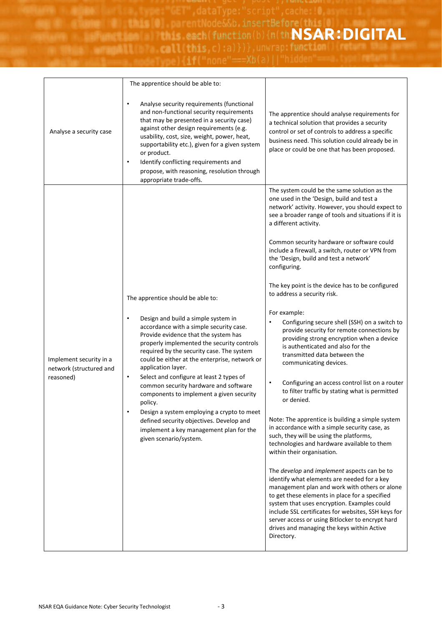parentNode&&b,insertBefore(this)0 each(function(b){n(th**NSAR:DIGITAL**<br>lithis c) a)})}<sub>,</sub>unwrap.functi

|                                                                 | The apprentice should be able to:                                                                                                                                                                                                                                                                                                                                                                                                                                                                                                                                                                                                                          |                                                                                                                                                                                                                                                                                                                                                                                                                                                                                                                                                                                                                                                                                                                                                                                                                                                                                                                                                                                                                                                                                                                                                                                                                                                                                                                                                                                                                                                                                                                          |
|-----------------------------------------------------------------|------------------------------------------------------------------------------------------------------------------------------------------------------------------------------------------------------------------------------------------------------------------------------------------------------------------------------------------------------------------------------------------------------------------------------------------------------------------------------------------------------------------------------------------------------------------------------------------------------------------------------------------------------------|--------------------------------------------------------------------------------------------------------------------------------------------------------------------------------------------------------------------------------------------------------------------------------------------------------------------------------------------------------------------------------------------------------------------------------------------------------------------------------------------------------------------------------------------------------------------------------------------------------------------------------------------------------------------------------------------------------------------------------------------------------------------------------------------------------------------------------------------------------------------------------------------------------------------------------------------------------------------------------------------------------------------------------------------------------------------------------------------------------------------------------------------------------------------------------------------------------------------------------------------------------------------------------------------------------------------------------------------------------------------------------------------------------------------------------------------------------------------------------------------------------------------------|
| Analyse a security case                                         | Analyse security requirements (functional<br>and non-functional security requirements<br>that may be presented in a security case)<br>against other design requirements (e.g.<br>usability, cost, size, weight, power, heat,<br>supportability etc.), given for a given system<br>or product.<br>Identify conflicting requirements and<br>$\bullet$<br>propose, with reasoning, resolution through<br>appropriate trade-offs.                                                                                                                                                                                                                              | The apprentice should analyse requirements for<br>a technical solution that provides a security<br>control or set of controls to address a specific<br>business need. This solution could already be in<br>place or could be one that has been proposed.                                                                                                                                                                                                                                                                                                                                                                                                                                                                                                                                                                                                                                                                                                                                                                                                                                                                                                                                                                                                                                                                                                                                                                                                                                                                 |
| Implement security in a<br>network (structured and<br>reasoned) | The apprentice should be able to:<br>Design and build a simple system in<br>٠<br>accordance with a simple security case.<br>Provide evidence that the system has<br>properly implemented the security controls<br>required by the security case. The system<br>could be either at the enterprise, network or<br>application layer.<br>Select and configure at least 2 types of<br>$\bullet$<br>common security hardware and software<br>components to implement a given security<br>policy.<br>Design a system employing a crypto to meet<br>defined security objectives. Develop and<br>implement a key management plan for the<br>given scenario/system. | The system could be the same solution as the<br>one used in the 'Design, build and test a<br>network' activity. However, you should expect to<br>see a broader range of tools and situations if it is<br>a different activity.<br>Common security hardware or software could<br>include a firewall, a switch, router or VPN from<br>the 'Design, build and test a network'<br>configuring.<br>The key point is the device has to be configured<br>to address a security risk.<br>For example:<br>Configuring secure shell (SSH) on a switch to<br>٠<br>provide security for remote connections by<br>providing strong encryption when a device<br>is authenticated and also for the<br>transmitted data between the<br>communicating devices.<br>Configuring an access control list on a router<br>٠<br>to filter traffic by stating what is permitted<br>or denied.<br>Note: The apprentice is building a simple system<br>in accordance with a simple security case, as<br>such, they will be using the platforms,<br>technologies and hardware available to them<br>within their organisation.<br>The develop and implement aspects can be to<br>identify what elements are needed for a key<br>management plan and work with others or alone<br>to get these elements in place for a specified<br>system that uses encryption. Examples could<br>include SSL certificates for websites, SSH keys for<br>server access or using Bitlocker to encrypt hard<br>drives and managing the keys within Active<br>Directory. |